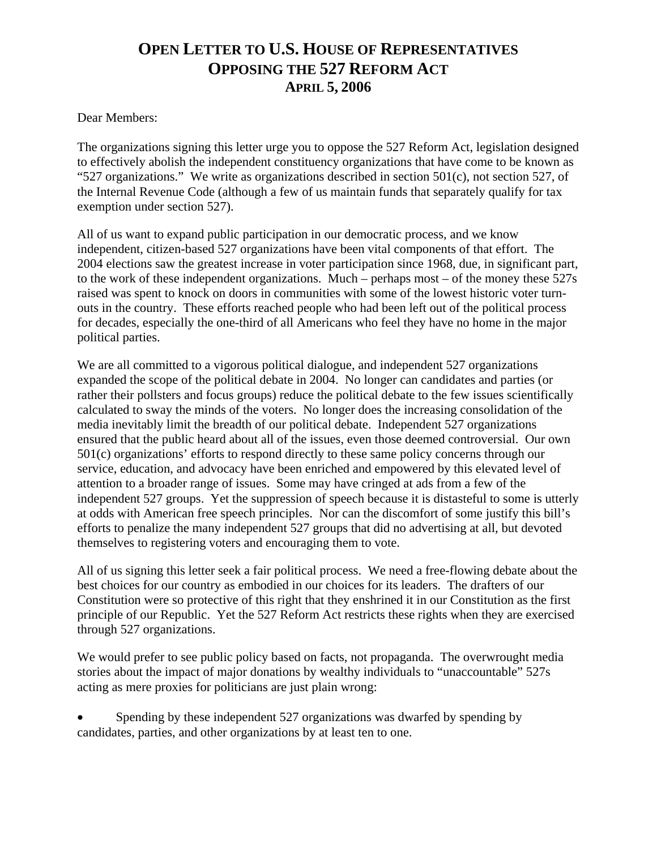## **OPEN LETTER TO U.S. HOUSE OF REPRESENTATIVES OPPOSING THE 527 REFORM ACT APRIL 5, 2006**

Dear Members:

The organizations signing this letter urge you to oppose the 527 Reform Act, legislation designed to effectively abolish the independent constituency organizations that have come to be known as "527 organizations." We write as organizations described in section 501 $(c)$ , not section 527, of the Internal Revenue Code (although a few of us maintain funds that separately qualify for tax exemption under section 527).

All of us want to expand public participation in our democratic process, and we know independent, citizen-based 527 organizations have been vital components of that effort. The 2004 elections saw the greatest increase in voter participation since 1968, due, in significant part, to the work of these independent organizations. Much – perhaps most – of the money these 527s raised was spent to knock on doors in communities with some of the lowest historic voter turnouts in the country. These efforts reached people who had been left out of the political process for decades, especially the one-third of all Americans who feel they have no home in the major political parties.

We are all committed to a vigorous political dialogue, and independent 527 organizations expanded the scope of the political debate in 2004. No longer can candidates and parties (or rather their pollsters and focus groups) reduce the political debate to the few issues scientifically calculated to sway the minds of the voters. No longer does the increasing consolidation of the media inevitably limit the breadth of our political debate. Independent 527 organizations ensured that the public heard about all of the issues, even those deemed controversial. Our own 501(c) organizations' efforts to respond directly to these same policy concerns through our service, education, and advocacy have been enriched and empowered by this elevated level of attention to a broader range of issues. Some may have cringed at ads from a few of the independent 527 groups. Yet the suppression of speech because it is distasteful to some is utterly at odds with American free speech principles. Nor can the discomfort of some justify this bill's efforts to penalize the many independent 527 groups that did no advertising at all, but devoted themselves to registering voters and encouraging them to vote.

All of us signing this letter seek a fair political process. We need a free-flowing debate about the best choices for our country as embodied in our choices for its leaders. The drafters of our Constitution were so protective of this right that they enshrined it in our Constitution as the first principle of our Republic. Yet the 527 Reform Act restricts these rights when they are exercised through 527 organizations.

We would prefer to see public policy based on facts, not propaganda. The overwrought media stories about the impact of major donations by wealthy individuals to "unaccountable" 527s acting as mere proxies for politicians are just plain wrong:

• Spending by these independent 527 organizations was dwarfed by spending by candidates, parties, and other organizations by at least ten to one.